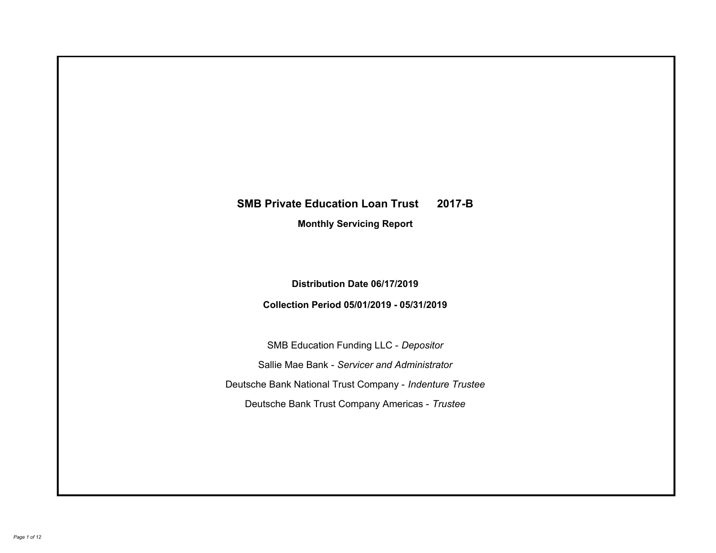# **SMB Private Education Loan Trust 2017-B Monthly Servicing Report**

## **Distribution Date 06/17/2019**

## **Collection Period 05/01/2019 - 05/31/2019**

SMB Education Funding LLC - *Depositor* Sallie Mae Bank - *Servicer and Administrator* Deutsche Bank National Trust Company - *Indenture Trustee* Deutsche Bank Trust Company Americas - *Trustee*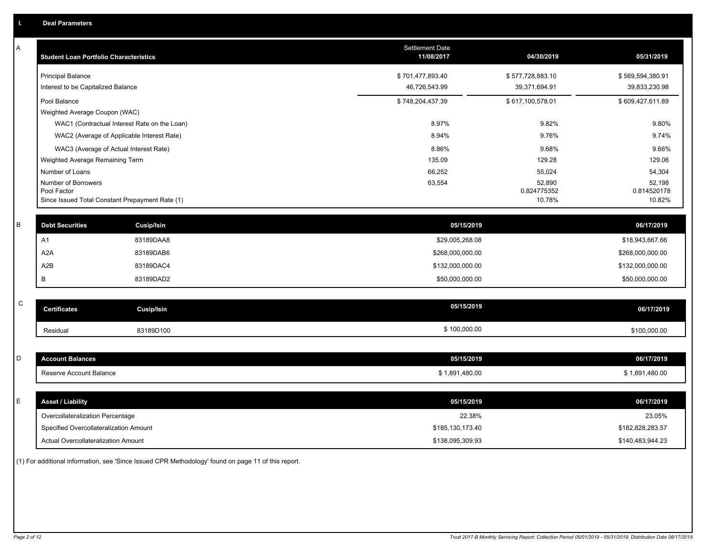| Α           | <b>Student Loan Portfolio Characteristics</b>   |                                              | Settlement Date<br>11/08/2017 | 04/30/2019            | 05/31/2019            |
|-------------|-------------------------------------------------|----------------------------------------------|-------------------------------|-----------------------|-----------------------|
|             | <b>Principal Balance</b>                        |                                              | \$701,477,893.40              | \$577,728,883.10      | \$569,594,380.91      |
|             | Interest to be Capitalized Balance              |                                              | 46,726,543.99                 | 39,371,694.91         | 39,833,230.98         |
|             | Pool Balance                                    |                                              | \$748,204,437.39              | \$617,100,578.01      | \$609,427,611.89      |
|             | Weighted Average Coupon (WAC)                   |                                              |                               |                       |                       |
|             |                                                 | WAC1 (Contractual Interest Rate on the Loan) | 8.97%                         | 9.82%                 | 9.80%                 |
|             | WAC2 (Average of Applicable Interest Rate)      |                                              | 8.94%                         | 9.76%                 | 9.74%                 |
|             | WAC3 (Average of Actual Interest Rate)          |                                              | 8.86%                         | 9.68%                 | 9.66%                 |
|             | Weighted Average Remaining Term                 |                                              | 135.09                        | 129.28                | 129.06                |
|             | Number of Loans                                 |                                              | 66,252                        | 55,024                | 54,304                |
|             | Number of Borrowers<br>Pool Factor              |                                              | 63,554                        | 52,890<br>0.824775352 | 52,198<br>0.814520178 |
|             | Since Issued Total Constant Prepayment Rate (1) |                                              |                               | 10.78%                | 10.82%                |
|             |                                                 |                                              |                               |                       |                       |
| B           | <b>Debt Securities</b>                          | <b>Cusip/Isin</b>                            | 05/15/2019                    |                       | 06/17/2019            |
|             | A1                                              | 83189DAA8                                    | \$29,005,268.08               |                       | \$18,943,667.66       |
|             | A <sub>2</sub> A                                | 83189DAB6                                    | \$268,000,000.00              |                       | \$268,000,000.00      |
|             | A2B                                             | 83189DAC4                                    | \$132,000,000.00              |                       | \$132,000,000.00      |
|             | B                                               | 83189DAD2                                    | \$50,000,000.00               |                       | \$50,000,000.00       |
|             |                                                 |                                              |                               |                       |                       |
| $\mathsf C$ | <b>Certificates</b>                             | Cusip/Isin                                   | 05/15/2019                    |                       | 06/17/2019            |
|             | Residual                                        | 83189D100                                    | \$100,000.00                  |                       | \$100,000.00          |
|             |                                                 |                                              |                               |                       |                       |
| D           | <b>Account Balances</b>                         |                                              | 05/15/2019                    |                       | 06/17/2019            |
|             | Reserve Account Balance                         |                                              | \$1,891,480.00                |                       | \$1,891,480.00        |
|             |                                                 |                                              |                               |                       |                       |
| Е           | <b>Asset / Liability</b>                        |                                              | 05/15/2019                    |                       | 06/17/2019            |
|             | Overcollateralization Percentage                |                                              | 22.38%                        |                       | 23.05%                |
|             | Specified Overcollateralization Amount          |                                              | \$185,130,173.40              |                       | \$182,828,283.57      |
|             | Actual Overcollateralization Amount             |                                              | \$138,095,309.93              |                       | \$140,483,944.23      |

(1) For additional information, see 'Since Issued CPR Methodology' found on page 11 of this report.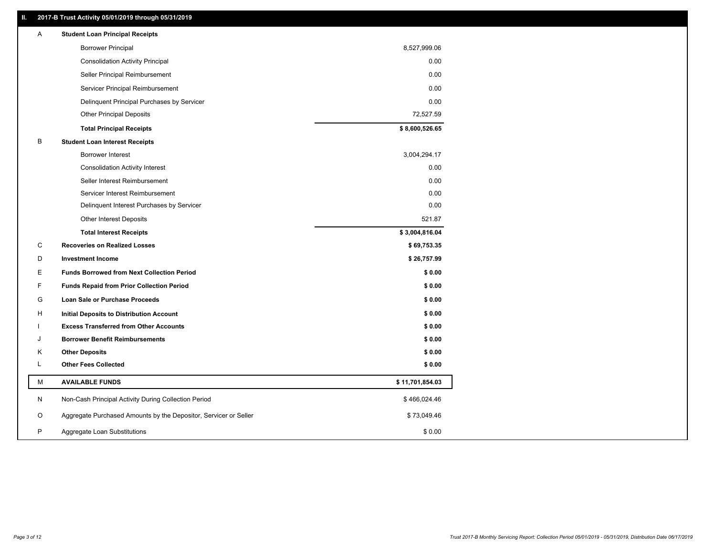### **II. 2017-B Trust Activity 05/01/2019 through 05/31/2019**

| Α | <b>Student Loan Principal Receipts</b>                           |                 |
|---|------------------------------------------------------------------|-----------------|
|   | <b>Borrower Principal</b>                                        | 8,527,999.06    |
|   | <b>Consolidation Activity Principal</b>                          | 0.00            |
|   | Seller Principal Reimbursement                                   | 0.00            |
|   | Servicer Principal Reimbursement                                 | 0.00            |
|   | Delinquent Principal Purchases by Servicer                       | 0.00            |
|   | <b>Other Principal Deposits</b>                                  | 72,527.59       |
|   | <b>Total Principal Receipts</b>                                  | \$8,600,526.65  |
| В | <b>Student Loan Interest Receipts</b>                            |                 |
|   | <b>Borrower Interest</b>                                         | 3,004,294.17    |
|   | <b>Consolidation Activity Interest</b>                           | 0.00            |
|   | Seller Interest Reimbursement                                    | 0.00            |
|   | Servicer Interest Reimbursement                                  | 0.00            |
|   | Delinquent Interest Purchases by Servicer                        | 0.00            |
|   | Other Interest Deposits                                          | 521.87          |
|   | <b>Total Interest Receipts</b>                                   | \$3,004,816.04  |
| С | <b>Recoveries on Realized Losses</b>                             | \$69,753.35     |
| D | <b>Investment Income</b>                                         | \$26,757.99     |
| Е | <b>Funds Borrowed from Next Collection Period</b>                | \$0.00          |
| F | <b>Funds Repaid from Prior Collection Period</b>                 | \$0.00          |
| G | Loan Sale or Purchase Proceeds                                   | \$0.00          |
| н | Initial Deposits to Distribution Account                         | \$0.00          |
|   | <b>Excess Transferred from Other Accounts</b>                    | \$0.00          |
| J | <b>Borrower Benefit Reimbursements</b>                           | \$0.00          |
| Κ | <b>Other Deposits</b>                                            | \$0.00          |
| L | <b>Other Fees Collected</b>                                      | \$0.00          |
| М | <b>AVAILABLE FUNDS</b>                                           | \$11,701,854.03 |
| N | Non-Cash Principal Activity During Collection Period             | \$466,024.46    |
| O | Aggregate Purchased Amounts by the Depositor, Servicer or Seller | \$73,049.46     |
| P | Aggregate Loan Substitutions                                     | \$0.00          |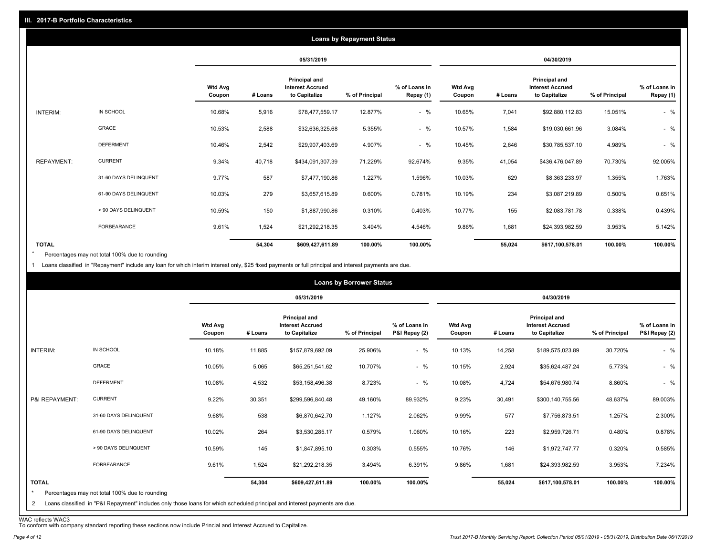|                   |                       |                          |         |                                                           | <b>Loans by Repayment Status</b> |                            |                          |         |                                                           |                |                            |
|-------------------|-----------------------|--------------------------|---------|-----------------------------------------------------------|----------------------------------|----------------------------|--------------------------|---------|-----------------------------------------------------------|----------------|----------------------------|
|                   |                       |                          |         | 05/31/2019                                                |                                  |                            |                          |         | 04/30/2019                                                |                |                            |
|                   |                       | <b>Wtd Avg</b><br>Coupon | # Loans | Principal and<br><b>Interest Accrued</b><br>to Capitalize | % of Principal                   | % of Loans in<br>Repay (1) | <b>Wtd Avg</b><br>Coupon | # Loans | Principal and<br><b>Interest Accrued</b><br>to Capitalize | % of Principal | % of Loans in<br>Repay (1) |
| INTERIM:          | IN SCHOOL             | 10.68%                   | 5,916   | \$78,477,559.17                                           | 12.877%                          | $-$ %                      | 10.65%                   | 7,041   | \$92,880,112.83                                           | 15.051%        | $-$ %                      |
|                   | <b>GRACE</b>          | 10.53%                   | 2,588   | \$32,636,325.68                                           | 5.355%                           | $-$ %                      | 10.57%                   | 1,584   | \$19,030,661.96                                           | 3.084%         | $-$ %                      |
|                   | <b>DEFERMENT</b>      | 10.46%                   | 2,542   | \$29,907,403.69                                           | 4.907%                           | $-$ %                      | 10.45%                   | 2,646   | \$30,785,537.10                                           | 4.989%         | $-$ %                      |
| <b>REPAYMENT:</b> | <b>CURRENT</b>        | 9.34%                    | 40,718  | \$434,091,307.39                                          | 71.229%                          | 92.674%                    | 9.35%                    | 41,054  | \$436,476,047.89                                          | 70.730%        | 92.005%                    |
|                   | 31-60 DAYS DELINQUENT | 9.77%                    | 587     | \$7,477,190.86                                            | 1.227%                           | 1.596%                     | 10.03%                   | 629     | \$8,363,233.97                                            | 1.355%         | 1.763%                     |
|                   | 61-90 DAYS DELINQUENT | 10.03%                   | 279     | \$3,657,615.89                                            | 0.600%                           | 0.781%                     | 10.19%                   | 234     | \$3,087,219.89                                            | 0.500%         | 0.651%                     |
|                   | > 90 DAYS DELINQUENT  | 10.59%                   | 150     | \$1,887,990.86                                            | 0.310%                           | 0.403%                     | 10.77%                   | 155     | \$2,083,781.78                                            | 0.338%         | 0.439%                     |
|                   | FORBEARANCE           | 9.61%                    | 1,524   | \$21,292,218.35                                           | 3.494%                           | 4.546%                     | 9.86%                    | 1,681   | \$24,393,982.59                                           | 3.953%         | 5.142%                     |
| <b>TOTAL</b>      |                       |                          | 54,304  | \$609,427,611.89                                          | 100.00%                          | 100.00%                    |                          | 55,024  | \$617,100,578.01                                          | 100.00%        | 100.00%                    |

Percentages may not total 100% due to rounding \*

1 Loans classified in "Repayment" include any loan for which interim interest only, \$25 fixed payments or full principal and interest payments are due.

|                         |                                                                                                                            |                          |         |                                                           | <b>Loans by Borrower Status</b> |                                |                          |         |                                                           |                |                                |
|-------------------------|----------------------------------------------------------------------------------------------------------------------------|--------------------------|---------|-----------------------------------------------------------|---------------------------------|--------------------------------|--------------------------|---------|-----------------------------------------------------------|----------------|--------------------------------|
|                         |                                                                                                                            |                          |         | 05/31/2019                                                |                                 |                                |                          |         | 04/30/2019                                                |                |                                |
|                         |                                                                                                                            | <b>Wtd Avg</b><br>Coupon | # Loans | Principal and<br><b>Interest Accrued</b><br>to Capitalize | % of Principal                  | % of Loans in<br>P&I Repay (2) | <b>Wtd Avg</b><br>Coupon | # Loans | Principal and<br><b>Interest Accrued</b><br>to Capitalize | % of Principal | % of Loans in<br>P&I Repay (2) |
| INTERIM:                | IN SCHOOL                                                                                                                  | 10.18%                   | 11,885  | \$157,879,692.09                                          | 25.906%                         | $-$ %                          | 10.13%                   | 14,258  | \$189,575,023.89                                          | 30.720%        | $-$ %                          |
|                         | GRACE                                                                                                                      | 10.05%                   | 5,065   | \$65,251,541.62                                           | 10.707%                         | $-$ %                          | 10.15%                   | 2,924   | \$35,624,487.24                                           | 5.773%         | $-$ %                          |
|                         | <b>DEFERMENT</b>                                                                                                           | 10.08%                   | 4,532   | \$53,158,496.38                                           | 8.723%                          | $-$ %                          | 10.08%                   | 4,724   | \$54,676,980.74                                           | 8.860%         | $-$ %                          |
| P&I REPAYMENT:          | <b>CURRENT</b>                                                                                                             | 9.22%                    | 30,351  | \$299,596,840.48                                          | 49.160%                         | 89.932%                        | 9.23%                    | 30,491  | \$300,140,755.56                                          | 48.637%        | 89.003%                        |
|                         | 31-60 DAYS DELINQUENT                                                                                                      | 9.68%                    | 538     | \$6,870,642.70                                            | 1.127%                          | 2.062%                         | 9.99%                    | 577     | \$7,756,873.51                                            | 1.257%         | 2.300%                         |
|                         | 61-90 DAYS DELINQUENT                                                                                                      | 10.02%                   | 264     | \$3,530,285.17                                            | 0.579%                          | 1.060%                         | 10.16%                   | 223     | \$2,959,726.71                                            | 0.480%         | 0.878%                         |
|                         | > 90 DAYS DELINQUENT                                                                                                       | 10.59%                   | 145     | \$1,847,895.10                                            | 0.303%                          | 0.555%                         | 10.76%                   | 146     | \$1,972,747.77                                            | 0.320%         | 0.585%                         |
|                         | <b>FORBEARANCE</b>                                                                                                         | 9.61%                    | 1,524   | \$21,292,218.35                                           | 3.494%                          | 6.391%                         | 9.86%                    | 1,681   | \$24,393,982.59                                           | 3.953%         | 7.234%                         |
| <b>TOTAL</b><br>$\star$ | Percentages may not total 100% due to rounding                                                                             |                          | 54,304  | \$609,427,611.89                                          | 100.00%                         | 100.00%                        |                          | 55,024  | \$617,100,578.01                                          | 100.00%        | 100.00%                        |
| 2                       | Loans classified in "P&I Repayment" includes only those loans for which scheduled principal and interest payments are due. |                          |         |                                                           |                                 |                                |                          |         |                                                           |                |                                |

WAC reflects WAC3 To conform with company standard reporting these sections now include Princial and Interest Accrued to Capitalize.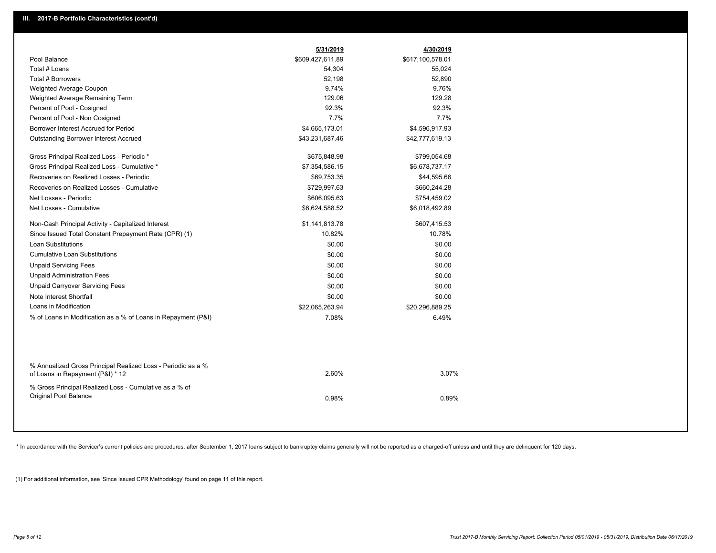| Pool Balance<br>\$609,427,611.89<br>\$617,100,578.01<br>Total # Loans<br>54,304<br>55,024<br>Total # Borrowers<br>52,198<br>52,890<br>9.76%<br>9.74%<br>Weighted Average Coupon<br>129.06<br>129.28<br>Weighted Average Remaining Term<br>92.3%<br>92.3%<br>Percent of Pool - Cosigned<br>7.7%<br>7.7%<br>Percent of Pool - Non Cosigned<br>Borrower Interest Accrued for Period<br>\$4,665,173.01<br>\$4,596,917.93<br><b>Outstanding Borrower Interest Accrued</b><br>\$43,231,687.46<br>\$42,777,619.13<br>Gross Principal Realized Loss - Periodic *<br>\$675,848.98<br>\$799,054.68<br>Gross Principal Realized Loss - Cumulative *<br>\$7,354,586.15<br>\$6,678,737.17<br>Recoveries on Realized Losses - Periodic<br>\$69,753.35<br>\$44,595.66<br>Recoveries on Realized Losses - Cumulative<br>\$729,997.63<br>\$660,244.28<br>Net Losses - Periodic<br>\$606,095.63<br>\$754,459.02<br>Net Losses - Cumulative<br>\$6,624,588.52<br>\$6,018,492.89<br>Non-Cash Principal Activity - Capitalized Interest<br>\$1,141,813.78<br>\$607,415.53<br>Since Issued Total Constant Prepayment Rate (CPR) (1)<br>10.82%<br>10.78%<br><b>Loan Substitutions</b><br>\$0.00<br>\$0.00<br><b>Cumulative Loan Substitutions</b><br>\$0.00<br>\$0.00<br><b>Unpaid Servicing Fees</b><br>\$0.00<br>\$0.00<br><b>Unpaid Administration Fees</b><br>\$0.00<br>\$0.00<br><b>Unpaid Carryover Servicing Fees</b><br>\$0.00<br>\$0.00<br>Note Interest Shortfall<br>\$0.00<br>\$0.00<br>Loans in Modification<br>\$22,065,263.94<br>\$20,296,889.25<br>% of Loans in Modification as a % of Loans in Repayment (P&I)<br>7.08%<br>6.49%<br>% Annualized Gross Principal Realized Loss - Periodic as a %<br>2.60%<br>of Loans in Repayment (P&I) * 12<br>% Gross Principal Realized Loss - Cumulative as a % of<br>Original Pool Balance<br>0.98% | 5/31/2019 | 4/30/2019 |
|-------------------------------------------------------------------------------------------------------------------------------------------------------------------------------------------------------------------------------------------------------------------------------------------------------------------------------------------------------------------------------------------------------------------------------------------------------------------------------------------------------------------------------------------------------------------------------------------------------------------------------------------------------------------------------------------------------------------------------------------------------------------------------------------------------------------------------------------------------------------------------------------------------------------------------------------------------------------------------------------------------------------------------------------------------------------------------------------------------------------------------------------------------------------------------------------------------------------------------------------------------------------------------------------------------------------------------------------------------------------------------------------------------------------------------------------------------------------------------------------------------------------------------------------------------------------------------------------------------------------------------------------------------------------------------------------------------------------------------------------------------------------------------------------------------------------------------------|-----------|-----------|
|                                                                                                                                                                                                                                                                                                                                                                                                                                                                                                                                                                                                                                                                                                                                                                                                                                                                                                                                                                                                                                                                                                                                                                                                                                                                                                                                                                                                                                                                                                                                                                                                                                                                                                                                                                                                                                     |           |           |
|                                                                                                                                                                                                                                                                                                                                                                                                                                                                                                                                                                                                                                                                                                                                                                                                                                                                                                                                                                                                                                                                                                                                                                                                                                                                                                                                                                                                                                                                                                                                                                                                                                                                                                                                                                                                                                     |           |           |
|                                                                                                                                                                                                                                                                                                                                                                                                                                                                                                                                                                                                                                                                                                                                                                                                                                                                                                                                                                                                                                                                                                                                                                                                                                                                                                                                                                                                                                                                                                                                                                                                                                                                                                                                                                                                                                     |           |           |
|                                                                                                                                                                                                                                                                                                                                                                                                                                                                                                                                                                                                                                                                                                                                                                                                                                                                                                                                                                                                                                                                                                                                                                                                                                                                                                                                                                                                                                                                                                                                                                                                                                                                                                                                                                                                                                     |           |           |
|                                                                                                                                                                                                                                                                                                                                                                                                                                                                                                                                                                                                                                                                                                                                                                                                                                                                                                                                                                                                                                                                                                                                                                                                                                                                                                                                                                                                                                                                                                                                                                                                                                                                                                                                                                                                                                     |           |           |
|                                                                                                                                                                                                                                                                                                                                                                                                                                                                                                                                                                                                                                                                                                                                                                                                                                                                                                                                                                                                                                                                                                                                                                                                                                                                                                                                                                                                                                                                                                                                                                                                                                                                                                                                                                                                                                     |           |           |
|                                                                                                                                                                                                                                                                                                                                                                                                                                                                                                                                                                                                                                                                                                                                                                                                                                                                                                                                                                                                                                                                                                                                                                                                                                                                                                                                                                                                                                                                                                                                                                                                                                                                                                                                                                                                                                     |           |           |
|                                                                                                                                                                                                                                                                                                                                                                                                                                                                                                                                                                                                                                                                                                                                                                                                                                                                                                                                                                                                                                                                                                                                                                                                                                                                                                                                                                                                                                                                                                                                                                                                                                                                                                                                                                                                                                     |           |           |
|                                                                                                                                                                                                                                                                                                                                                                                                                                                                                                                                                                                                                                                                                                                                                                                                                                                                                                                                                                                                                                                                                                                                                                                                                                                                                                                                                                                                                                                                                                                                                                                                                                                                                                                                                                                                                                     |           |           |
|                                                                                                                                                                                                                                                                                                                                                                                                                                                                                                                                                                                                                                                                                                                                                                                                                                                                                                                                                                                                                                                                                                                                                                                                                                                                                                                                                                                                                                                                                                                                                                                                                                                                                                                                                                                                                                     |           |           |
|                                                                                                                                                                                                                                                                                                                                                                                                                                                                                                                                                                                                                                                                                                                                                                                                                                                                                                                                                                                                                                                                                                                                                                                                                                                                                                                                                                                                                                                                                                                                                                                                                                                                                                                                                                                                                                     |           |           |
|                                                                                                                                                                                                                                                                                                                                                                                                                                                                                                                                                                                                                                                                                                                                                                                                                                                                                                                                                                                                                                                                                                                                                                                                                                                                                                                                                                                                                                                                                                                                                                                                                                                                                                                                                                                                                                     |           |           |
|                                                                                                                                                                                                                                                                                                                                                                                                                                                                                                                                                                                                                                                                                                                                                                                                                                                                                                                                                                                                                                                                                                                                                                                                                                                                                                                                                                                                                                                                                                                                                                                                                                                                                                                                                                                                                                     |           |           |
|                                                                                                                                                                                                                                                                                                                                                                                                                                                                                                                                                                                                                                                                                                                                                                                                                                                                                                                                                                                                                                                                                                                                                                                                                                                                                                                                                                                                                                                                                                                                                                                                                                                                                                                                                                                                                                     |           |           |
|                                                                                                                                                                                                                                                                                                                                                                                                                                                                                                                                                                                                                                                                                                                                                                                                                                                                                                                                                                                                                                                                                                                                                                                                                                                                                                                                                                                                                                                                                                                                                                                                                                                                                                                                                                                                                                     |           |           |
|                                                                                                                                                                                                                                                                                                                                                                                                                                                                                                                                                                                                                                                                                                                                                                                                                                                                                                                                                                                                                                                                                                                                                                                                                                                                                                                                                                                                                                                                                                                                                                                                                                                                                                                                                                                                                                     |           |           |
|                                                                                                                                                                                                                                                                                                                                                                                                                                                                                                                                                                                                                                                                                                                                                                                                                                                                                                                                                                                                                                                                                                                                                                                                                                                                                                                                                                                                                                                                                                                                                                                                                                                                                                                                                                                                                                     |           |           |
|                                                                                                                                                                                                                                                                                                                                                                                                                                                                                                                                                                                                                                                                                                                                                                                                                                                                                                                                                                                                                                                                                                                                                                                                                                                                                                                                                                                                                                                                                                                                                                                                                                                                                                                                                                                                                                     |           |           |
|                                                                                                                                                                                                                                                                                                                                                                                                                                                                                                                                                                                                                                                                                                                                                                                                                                                                                                                                                                                                                                                                                                                                                                                                                                                                                                                                                                                                                                                                                                                                                                                                                                                                                                                                                                                                                                     |           |           |
|                                                                                                                                                                                                                                                                                                                                                                                                                                                                                                                                                                                                                                                                                                                                                                                                                                                                                                                                                                                                                                                                                                                                                                                                                                                                                                                                                                                                                                                                                                                                                                                                                                                                                                                                                                                                                                     |           |           |
|                                                                                                                                                                                                                                                                                                                                                                                                                                                                                                                                                                                                                                                                                                                                                                                                                                                                                                                                                                                                                                                                                                                                                                                                                                                                                                                                                                                                                                                                                                                                                                                                                                                                                                                                                                                                                                     |           |           |
|                                                                                                                                                                                                                                                                                                                                                                                                                                                                                                                                                                                                                                                                                                                                                                                                                                                                                                                                                                                                                                                                                                                                                                                                                                                                                                                                                                                                                                                                                                                                                                                                                                                                                                                                                                                                                                     |           |           |
|                                                                                                                                                                                                                                                                                                                                                                                                                                                                                                                                                                                                                                                                                                                                                                                                                                                                                                                                                                                                                                                                                                                                                                                                                                                                                                                                                                                                                                                                                                                                                                                                                                                                                                                                                                                                                                     |           |           |
|                                                                                                                                                                                                                                                                                                                                                                                                                                                                                                                                                                                                                                                                                                                                                                                                                                                                                                                                                                                                                                                                                                                                                                                                                                                                                                                                                                                                                                                                                                                                                                                                                                                                                                                                                                                                                                     |           |           |
|                                                                                                                                                                                                                                                                                                                                                                                                                                                                                                                                                                                                                                                                                                                                                                                                                                                                                                                                                                                                                                                                                                                                                                                                                                                                                                                                                                                                                                                                                                                                                                                                                                                                                                                                                                                                                                     |           |           |
|                                                                                                                                                                                                                                                                                                                                                                                                                                                                                                                                                                                                                                                                                                                                                                                                                                                                                                                                                                                                                                                                                                                                                                                                                                                                                                                                                                                                                                                                                                                                                                                                                                                                                                                                                                                                                                     |           |           |
|                                                                                                                                                                                                                                                                                                                                                                                                                                                                                                                                                                                                                                                                                                                                                                                                                                                                                                                                                                                                                                                                                                                                                                                                                                                                                                                                                                                                                                                                                                                                                                                                                                                                                                                                                                                                                                     |           | 3.07%     |
|                                                                                                                                                                                                                                                                                                                                                                                                                                                                                                                                                                                                                                                                                                                                                                                                                                                                                                                                                                                                                                                                                                                                                                                                                                                                                                                                                                                                                                                                                                                                                                                                                                                                                                                                                                                                                                     |           | 0.89%     |

\* In accordance with the Servicer's current policies and procedures, after September 1, 2017 loans subject to bankruptcy claims generally will not be reported as a charged-off unless and until they are delinquent for 120 d

(1) For additional information, see 'Since Issued CPR Methodology' found on page 11 of this report.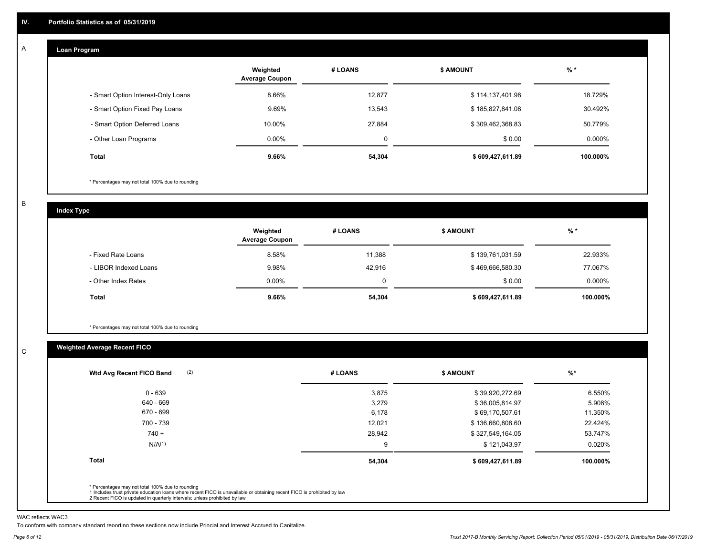#### **Loan Program**  A

|                                    | Weighted<br><b>Average Coupon</b> | # LOANS | <b>\$ AMOUNT</b> | $%$ *    |
|------------------------------------|-----------------------------------|---------|------------------|----------|
| - Smart Option Interest-Only Loans | 8.66%                             | 12,877  | \$114,137,401.98 | 18.729%  |
| - Smart Option Fixed Pay Loans     | 9.69%                             | 13,543  | \$185,827,841.08 | 30.492%  |
| - Smart Option Deferred Loans      | 10.00%                            | 27.884  | \$309,462,368.83 | 50.779%  |
| - Other Loan Programs              | $0.00\%$                          | 0       | \$0.00           | 0.000%   |
| <b>Total</b>                       | 9.66%                             | 54,304  | \$609,427,611.89 | 100.000% |

\* Percentages may not total 100% due to rounding

B

C

**Index Type**

|                       | Weighted<br><b>Average Coupon</b> | # LOANS | <b>\$ AMOUNT</b> | $%$ *    |
|-----------------------|-----------------------------------|---------|------------------|----------|
| - Fixed Rate Loans    | 8.58%                             | 11.388  | \$139,761,031.59 | 22.933%  |
| - LIBOR Indexed Loans | 9.98%                             | 42,916  | \$469,666,580.30 | 77.067%  |
| - Other Index Rates   | 0.00%                             |         | \$0.00           | 0.000%   |
| Total                 | $9.66\%$                          | 54,304  | \$609,427,611.89 | 100.000% |

\* Percentages may not total 100% due to rounding

### **Weighted Average Recent FICO**

| # LOANS | <b>\$ AMOUNT</b> | $%$ *    |
|---------|------------------|----------|
| 3,875   | \$39,920,272.69  | 6.550%   |
| 3,279   | \$36,005,814.97  | 5.908%   |
| 6,178   | \$69,170,507.61  | 11.350%  |
| 12,021  | \$136,660,808.60 | 22.424%  |
| 28,942  | \$327,549,164.05 | 53.747%  |
| 9       | \$121,043.97     | 0.020%   |
| 54,304  | \$609,427,611.89 | 100.000% |
|         |                  |          |
|         |                  |          |

WAC reflects WAC3

To conform with company standard reporting these sections now include Princial and Interest Accrued to Capitalize.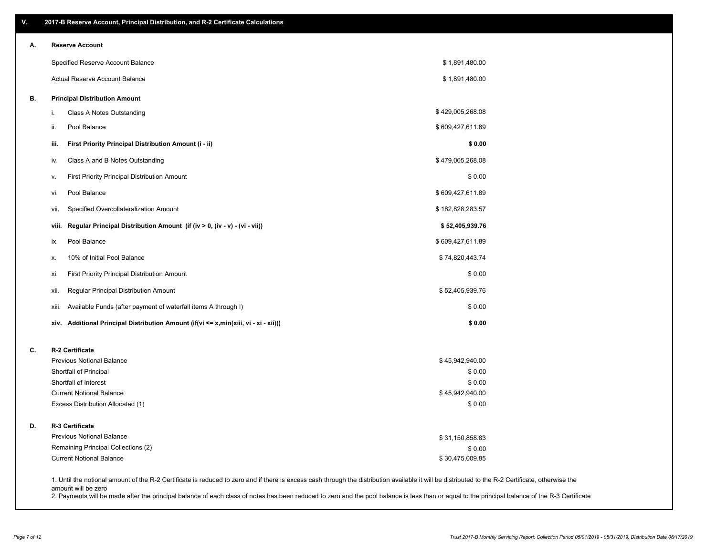| А. | 2017-B Reserve Account, Principal Distribution, and R-2 Certificate Calculations<br><b>Reserve Account</b>                                                                                         |                           |  |
|----|----------------------------------------------------------------------------------------------------------------------------------------------------------------------------------------------------|---------------------------|--|
|    | Specified Reserve Account Balance                                                                                                                                                                  | \$1,891,480.00            |  |
|    | Actual Reserve Account Balance                                                                                                                                                                     | \$1,891,480.00            |  |
| В. |                                                                                                                                                                                                    |                           |  |
|    | <b>Principal Distribution Amount</b>                                                                                                                                                               |                           |  |
|    | Class A Notes Outstanding<br>i.                                                                                                                                                                    | \$429,005,268.08          |  |
|    | Pool Balance<br>ii.                                                                                                                                                                                | \$609,427,611.89          |  |
|    | First Priority Principal Distribution Amount (i - ii)<br>iii.                                                                                                                                      | \$0.00                    |  |
|    | Class A and B Notes Outstanding<br>iv.                                                                                                                                                             | \$479,005,268.08          |  |
|    | First Priority Principal Distribution Amount<br>ν.                                                                                                                                                 | \$0.00                    |  |
|    | Pool Balance<br>vi.                                                                                                                                                                                | \$609,427,611.89          |  |
|    | Specified Overcollateralization Amount<br>vii.                                                                                                                                                     | \$182,828,283.57          |  |
|    | Regular Principal Distribution Amount (if (iv > 0, (iv - v) - (vi - vii))<br>viii.                                                                                                                 | \$52,405,939.76           |  |
|    | Pool Balance<br>ix.                                                                                                                                                                                | \$609,427,611.89          |  |
|    | 10% of Initial Pool Balance<br>х.                                                                                                                                                                  | \$74,820,443.74           |  |
|    | First Priority Principal Distribution Amount<br>xi.                                                                                                                                                | \$0.00                    |  |
|    | Regular Principal Distribution Amount<br>xii.                                                                                                                                                      | \$52,405,939.76           |  |
|    | Available Funds (after payment of waterfall items A through I)<br>xiii.                                                                                                                            | \$0.00                    |  |
|    | xiv. Additional Principal Distribution Amount (if(vi <= x,min(xiii, vi - xi - xii)))                                                                                                               | \$0.00                    |  |
| C. | R-2 Certificate                                                                                                                                                                                    |                           |  |
|    | Previous Notional Balance                                                                                                                                                                          | \$45,942,940.00           |  |
|    | Shortfall of Principal                                                                                                                                                                             | \$0.00                    |  |
|    | Shortfall of Interest                                                                                                                                                                              | \$0.00                    |  |
|    | <b>Current Notional Balance</b><br>Excess Distribution Allocated (1)                                                                                                                               | \$45,942,940.00<br>\$0.00 |  |
| D. | R-3 Certificate                                                                                                                                                                                    |                           |  |
|    | <b>Previous Notional Balance</b>                                                                                                                                                                   | \$31,150,858.83           |  |
|    | Remaining Principal Collections (2)                                                                                                                                                                | \$0.00                    |  |
|    | <b>Current Notional Balance</b>                                                                                                                                                                    | \$30,475,009.85           |  |
|    | 1. Until the notional amount of the R-2 Certificate is reduced to zero and if there is excess cash through the distribution available it will be distributed to the R-2 Certificate, otherwise the |                           |  |

amount will be zero

2. Payments will be made after the principal balance of each class of notes has been reduced to zero and the pool balance is less than or equal to the principal balance of the R-3 Certificate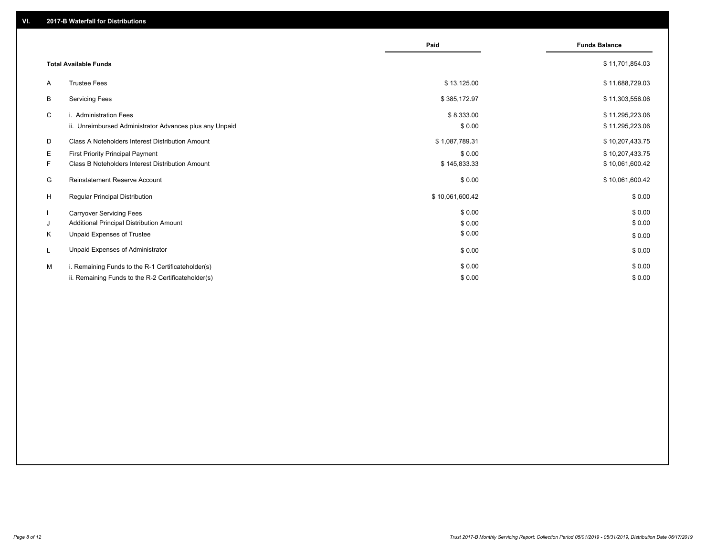|    |                                                         | Paid            | <b>Funds Balance</b> |
|----|---------------------------------------------------------|-----------------|----------------------|
|    | <b>Total Available Funds</b>                            |                 | \$11,701,854.03      |
| A  | <b>Trustee Fees</b>                                     | \$13,125.00     | \$11,688,729.03      |
| B  | <b>Servicing Fees</b>                                   | \$385,172.97    | \$11,303,556.06      |
| C  | i. Administration Fees                                  | \$8,333.00      | \$11,295,223.06      |
|    | ii. Unreimbursed Administrator Advances plus any Unpaid | \$0.00          | \$11,295,223.06      |
| D  | Class A Noteholders Interest Distribution Amount        | \$1,087,789.31  | \$10,207,433.75      |
| E. | <b>First Priority Principal Payment</b>                 | \$0.00          | \$10,207,433.75      |
| F. | <b>Class B Noteholders Interest Distribution Amount</b> | \$145,833.33    | \$10,061,600.42      |
| G  | <b>Reinstatement Reserve Account</b>                    | \$0.00          | \$10,061,600.42      |
| H  | Regular Principal Distribution                          | \$10,061,600.42 | \$0.00               |
|    | <b>Carryover Servicing Fees</b>                         | \$0.00          | \$0.00               |
| J  | Additional Principal Distribution Amount                | \$0.00          | \$0.00               |
| Κ  | Unpaid Expenses of Trustee                              | \$0.00          | \$0.00               |
| L  | Unpaid Expenses of Administrator                        | \$0.00          | \$0.00               |
| M  | i. Remaining Funds to the R-1 Certificateholder(s)      | \$0.00          | \$0.00               |
|    | ii. Remaining Funds to the R-2 Certificateholder(s)     | \$0.00          | \$0.00               |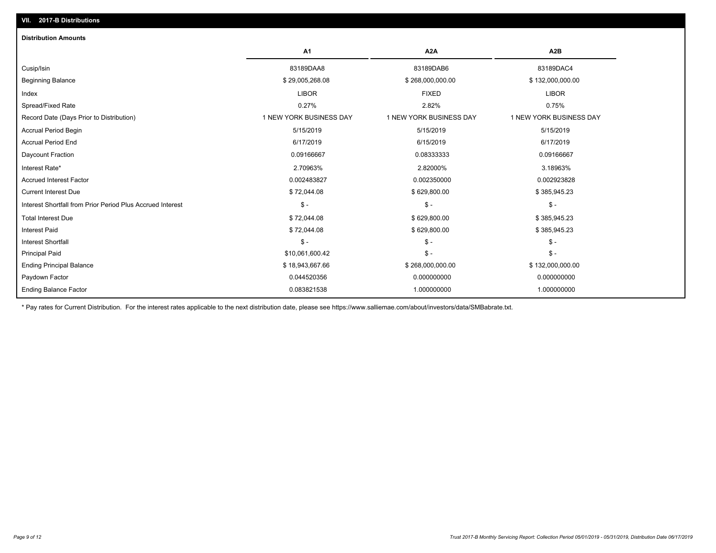| <b>Distribution Amounts</b>                                |                         |                         |                         |
|------------------------------------------------------------|-------------------------|-------------------------|-------------------------|
|                                                            | A <sub>1</sub>          | A <sub>2</sub> A        | A <sub>2</sub> B        |
| Cusip/Isin                                                 | 83189DAA8               | 83189DAB6               | 83189DAC4               |
| <b>Beginning Balance</b>                                   | \$29,005,268.08         | \$268,000,000.00        | \$132,000,000.00        |
| Index                                                      | <b>LIBOR</b>            | <b>FIXED</b>            | <b>LIBOR</b>            |
| Spread/Fixed Rate                                          | 0.27%                   | 2.82%                   | 0.75%                   |
| Record Date (Days Prior to Distribution)                   | 1 NEW YORK BUSINESS DAY | 1 NEW YORK BUSINESS DAY | 1 NEW YORK BUSINESS DAY |
| <b>Accrual Period Begin</b>                                | 5/15/2019               | 5/15/2019               | 5/15/2019               |
| <b>Accrual Period End</b>                                  | 6/17/2019               | 6/15/2019               | 6/17/2019               |
| Daycount Fraction                                          | 0.09166667              | 0.08333333              | 0.09166667              |
| Interest Rate*                                             | 2.70963%                | 2.82000%                | 3.18963%                |
| <b>Accrued Interest Factor</b>                             | 0.002483827             | 0.002350000             | 0.002923828             |
| <b>Current Interest Due</b>                                | \$72,044.08             | \$629,800.00            | \$385,945.23            |
| Interest Shortfall from Prior Period Plus Accrued Interest | $$ -$                   | $\frac{2}{3}$ -         | $\frac{1}{2}$           |
| <b>Total Interest Due</b>                                  | \$72,044.08             | \$629,800.00            | \$385,945.23            |
| <b>Interest Paid</b>                                       | \$72,044.08             | \$629,800.00            | \$385,945.23            |
| Interest Shortfall                                         | $$ -$                   | $\mathsf{\$}$ -         | $$ -$                   |
| <b>Principal Paid</b>                                      | \$10,061,600.42         | $\mathsf{\$}$ -         | $$ -$                   |
| <b>Ending Principal Balance</b>                            | \$18,943,667.66         | \$268,000,000.00        | \$132,000,000.00        |
| Paydown Factor                                             | 0.044520356             | 0.000000000             | 0.000000000             |
| <b>Ending Balance Factor</b>                               | 0.083821538             | 1.000000000             | 1.000000000             |

\* Pay rates for Current Distribution. For the interest rates applicable to the next distribution date, please see https://www.salliemae.com/about/investors/data/SMBabrate.txt.

**VII. 2017-B Distributions**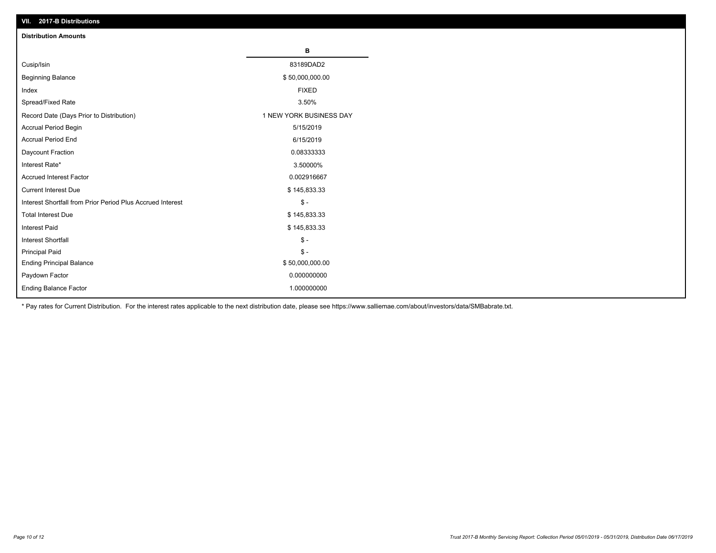| VII. 2017-B Distributions                                  |                         |
|------------------------------------------------------------|-------------------------|
| <b>Distribution Amounts</b>                                |                         |
|                                                            | в                       |
| Cusip/Isin                                                 | 83189DAD2               |
| <b>Beginning Balance</b>                                   | \$50,000,000.00         |
| Index                                                      | <b>FIXED</b>            |
| Spread/Fixed Rate                                          | 3.50%                   |
| Record Date (Days Prior to Distribution)                   | 1 NEW YORK BUSINESS DAY |
| Accrual Period Begin                                       | 5/15/2019               |
| <b>Accrual Period End</b>                                  | 6/15/2019               |
| Daycount Fraction                                          | 0.08333333              |
| Interest Rate*                                             | 3.50000%                |
| <b>Accrued Interest Factor</b>                             | 0.002916667             |
| <b>Current Interest Due</b>                                | \$145,833.33            |
| Interest Shortfall from Prior Period Plus Accrued Interest | $\frac{1}{2}$           |
| <b>Total Interest Due</b>                                  | \$145,833.33            |
| Interest Paid                                              | \$145,833.33            |
| Interest Shortfall                                         | $\frac{1}{2}$           |
| <b>Principal Paid</b>                                      | $\frac{1}{2}$           |
| <b>Ending Principal Balance</b>                            | \$50,000,000.00         |
| Paydown Factor                                             | 0.000000000             |
| Ending Balance Factor                                      | 1.000000000             |

\* Pay rates for Current Distribution. For the interest rates applicable to the next distribution date, please see https://www.salliemae.com/about/investors/data/SMBabrate.txt.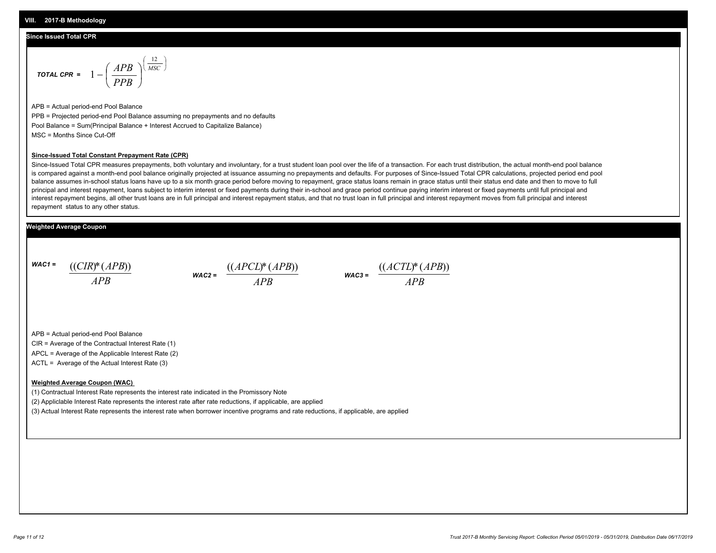#### **Since Issued Total CPR**

$$
\text{total CPR} = 1 - \left(\frac{APB}{PPB}\right)^{\left(\frac{12}{MSC}\right)}
$$

APB = Actual period-end Pool Balance PPB = Projected period-end Pool Balance assuming no prepayments and no defaults Pool Balance = Sum(Principal Balance + Interest Accrued to Capitalize Balance) MSC = Months Since Cut-Off

#### **Since-Issued Total Constant Prepayment Rate (CPR)**

Since-Issued Total CPR measures prepayments, both voluntary and involuntary, for a trust student loan pool over the life of a transaction. For each trust distribution, the actual month-end pool balance is compared against a month-end pool balance originally projected at issuance assuming no prepayments and defaults. For purposes of Since-Issued Total CPR calculations, projected period end pool balance assumes in-school status loans have up to a six month grace period before moving to repayment, grace status loans remain in grace status until their status end date and then to move to full principal and interest repayment, loans subject to interim interest or fixed payments during their in-school and grace period continue paying interim interest or fixed payments until full principal and interest repayment begins, all other trust loans are in full principal and interest repayment status, and that no trust loan in full principal and interest repayment moves from full principal and interest repayment status to any other status.

#### **Weighted Average Coupon**

*WAC1 = APB* ((*CIR*)\*(*APB*))

*WAC2 = APB*



APB = Actual period-end Pool Balance

CIR = Average of the Contractual Interest Rate (1)

APCL = Average of the Applicable Interest Rate (2)

ACTL = Average of the Actual Interest Rate (3)

#### **Weighted Average Coupon (WAC)**

(1) Contractual Interest Rate represents the interest rate indicated in the Promissory Note

(2) Appliclable Interest Rate represents the interest rate after rate reductions, if applicable, are applied

(3) Actual Interest Rate represents the interest rate when borrower incentive programs and rate reductions, if applicable, are applied